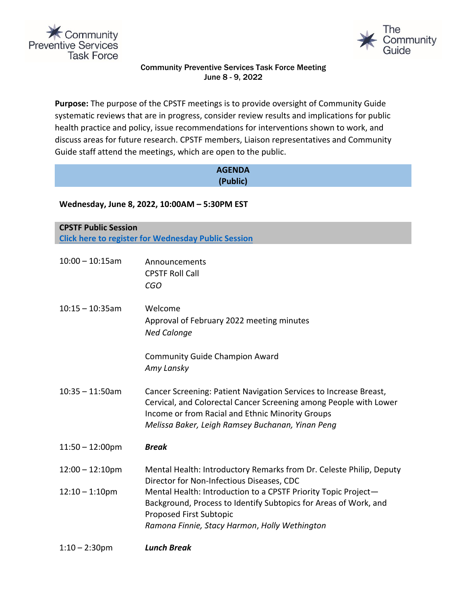



# Community Preventive Services Task Force Meeting June 8 - 9, 2022

**Purpose:** The purpose of the CPSTF meetings is to provide oversight of Community Guide systematic reviews that are in progress, consider review results and implications for public health practice and policy, issue recommendations for interventions shown to work, and discuss areas for future research. CPSTF members, Liaison representatives and Community Guide staff attend the meetings, which are open to the public.

| <b>AGENDA</b><br>(Public)                                                                 |                                                                                                                                                                                                                                                |  |  |  |
|-------------------------------------------------------------------------------------------|------------------------------------------------------------------------------------------------------------------------------------------------------------------------------------------------------------------------------------------------|--|--|--|
| Wednesday, June 8, 2022, 10:00AM - 5:30PM EST                                             |                                                                                                                                                                                                                                                |  |  |  |
| <b>CPSTF Public Session</b><br><b>Click here to register for Wednesday Public Session</b> |                                                                                                                                                                                                                                                |  |  |  |
| $10:00 - 10:15am$                                                                         | Announcements<br><b>CPSTF Roll Call</b><br>CGO                                                                                                                                                                                                 |  |  |  |
| $10:15 - 10:35$ am                                                                        | Welcome<br>Approval of February 2022 meeting minutes<br><b>Ned Calonge</b>                                                                                                                                                                     |  |  |  |
|                                                                                           | <b>Community Guide Champion Award</b><br>Amy Lansky                                                                                                                                                                                            |  |  |  |
| $10:35 - 11:50am$                                                                         | Cancer Screening: Patient Navigation Services to Increase Breast,<br>Cervical, and Colorectal Cancer Screening among People with Lower<br>Income or from Racial and Ethnic Minority Groups<br>Melissa Baker, Leigh Ramsey Buchanan, Yinan Peng |  |  |  |
| $11:50 - 12:00 \text{pm}$                                                                 | <b>Break</b>                                                                                                                                                                                                                                   |  |  |  |
| $12:00 - 12:10$ pm                                                                        | Mental Health: Introductory Remarks from Dr. Celeste Philip, Deputy<br>Director for Non-Infectious Diseases, CDC                                                                                                                               |  |  |  |
| $12:10 - 1:10$ pm                                                                         | Mental Health: Introduction to a CPSTF Priority Topic Project-<br>Background, Process to Identify Subtopics for Areas of Work, and<br>Proposed First Subtopic<br>Ramona Finnie, Stacy Harmon, Holly Wethington                                 |  |  |  |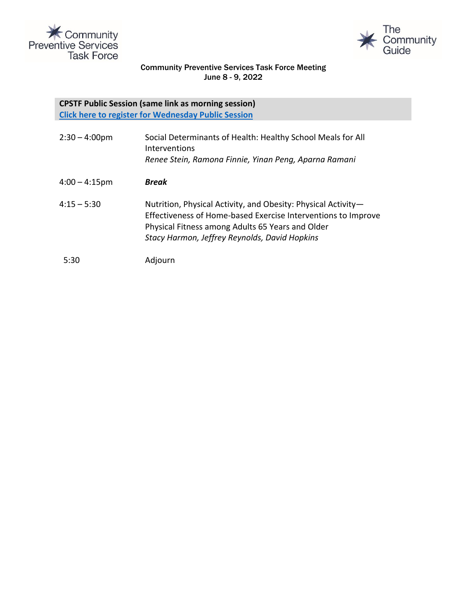



## Community Preventive Services Task Force Meeting June 8 - 9, 2022

## **CPSTF Public Session (same link as morning session) [Click here to register for Wednesday Public Session](https://cdc.zoomgov.com/webinar/register/WN_X4Mi3a7ITgCnGmTsE0_x1Q)**

| $2:30 - 4:00$ pm | Social Determinants of Health: Healthy School Meals for All<br>Interventions<br>Renee Stein, Ramona Finnie, Yinan Peng, Aparna Ramani                                                                                               |
|------------------|-------------------------------------------------------------------------------------------------------------------------------------------------------------------------------------------------------------------------------------|
| $4:00 - 4:15$ pm | <b>Break</b>                                                                                                                                                                                                                        |
| $4:15 - 5:30$    | Nutrition, Physical Activity, and Obesity: Physical Activity-<br>Effectiveness of Home-based Exercise Interventions to Improve<br>Physical Fitness among Adults 65 Years and Older<br>Stacy Harmon, Jeffrey Reynolds, David Hopkins |
| 5:30             | Adjourn                                                                                                                                                                                                                             |